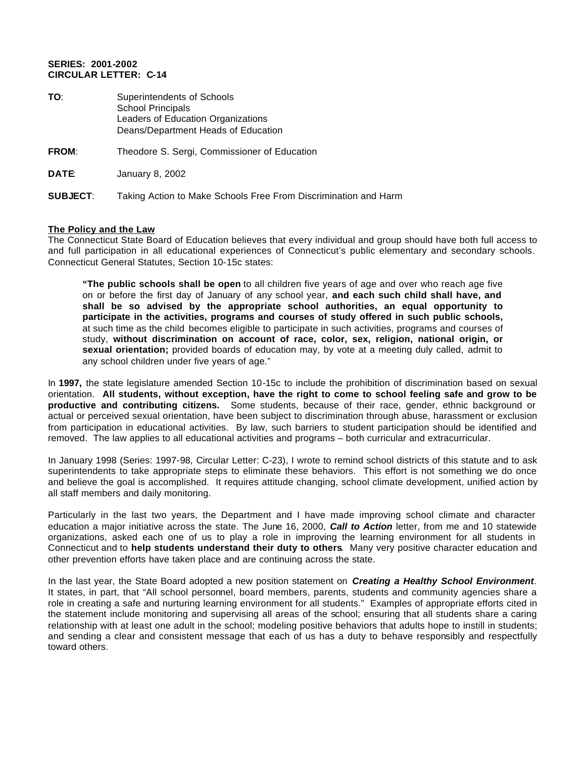## **SERIES: 2001-2002 CIRCULAR LETTER: C-14**

| TO:             | Superintendents of Schools<br><b>School Principals</b><br>Leaders of Education Organizations<br>Deans/Department Heads of Education |
|-----------------|-------------------------------------------------------------------------------------------------------------------------------------|
| <b>FROM:</b>    | Theodore S. Sergi, Commissioner of Education                                                                                        |
| <b>DATE</b>     | January 8, 2002                                                                                                                     |
| <b>SUBJECT:</b> | Taking Action to Make Schools Free From Discrimination and Harm                                                                     |

## **The Policy and the Law**

The Connecticut State Board of Education believes that every individual and group should have both full access to and full participation in all educational experiences of Connecticut's public elementary and secondary schools. Connecticut General Statutes, Section 10-15c states:

**"The public schools shall be open** to all children five years of age and over who reach age five on or before the first day of January of any school year, **and each such child shall have, and shall be so advised by the appropriate school authorities, an equal opportunity to participate in the activities, programs and courses of study offered in such public schools,**  at such time as the child becomes eligible to participate in such activities, programs and courses of study, **without discrimination on account of race, color, sex, religion, national origin, or sexual orientation;** provided boards of education may, by vote at a meeting duly called, admit to any school children under five years of age."

In **1997,** the state legislature amended Section 10-15c to include the prohibition of discrimination based on sexual orientation. **All students, without exception, have the right to come to school feeling safe and grow to be productive and contributing citizens.** Some students, because of their race, gender, ethnic background or actual or perceived sexual orientation, have been subject to discrimination through abuse, harassment or exclusion from participation in educational activities. By law, such barriers to student participation should be identified and removed. The law applies to all educational activities and programs – both curricular and extracurricular.

In January 1998 (Series: 1997-98, Circular Letter: C-23), I wrote to remind school districts of this statute and to ask superintendents to take appropriate steps to eliminate these behaviors. This effort is not something we do once and believe the goal is accomplished. It requires attitude changing, school climate development, unified action by all staff members and daily monitoring.

Particularly in the last two years, the Department and I have made improving school climate and character education a major initiative across the state. The June 16, 2000, *Call to Action* letter, from me and 10 statewide organizations, asked each one of us to play a role in improving the learning environment for all students in Connecticut and to **help students understand their duty to others**. Many very positive character education and other prevention efforts have taken place and are continuing across the state.

In the last year, the State Board adopted a new position statement on *Creating a Healthy School Environment*. It states, in part, that "All school personnel, board members, parents, students and community agencies share a role in creating a safe and nurturing learning environment for all students." Examples of appropriate efforts cited in the statement include monitoring and supervising all areas of the school; ensuring that all students share a caring relationship with at least one adult in the school; modeling positive behaviors that adults hope to instill in students; and sending a clear and consistent message that each of us has a duty to behave responsibly and respectfully toward others.